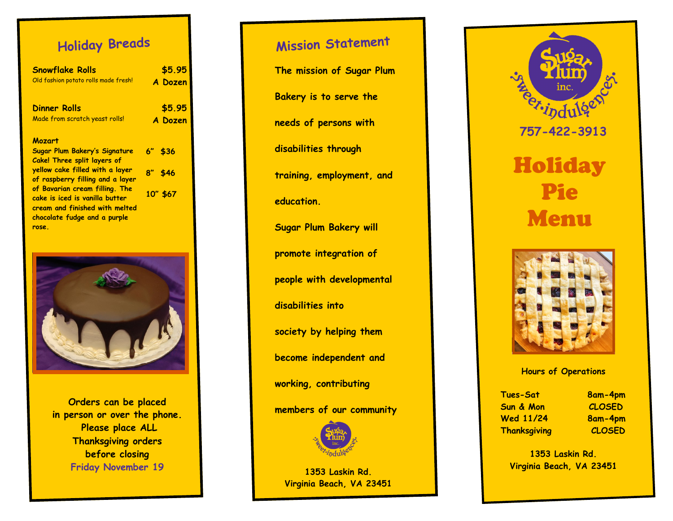## **Holiday Breads**

| <b>Snowflake Rolls</b>                                                                             | \$5.95     |
|----------------------------------------------------------------------------------------------------|------------|
| Old fashion potato rolls made fresh!                                                               | A Dozen    |
| <b>Dinner Rolls</b>                                                                                | \$5.95     |
| Made from scratch yeast rolls!                                                                     | A Dozen    |
| <b>Mozart</b>                                                                                      |            |
| Sugar Plum Bakery's Signature<br><b>Cake! Three split layers of</b>                                | $6''$ \$36 |
| yellow cake filled with a layer<br>of raspberry filling and a layer                                | $8''$ \$46 |
| of Bavarian cream filling. The<br>cake is iced is vanilla butter<br>cream and finished with melted | 10" \$67   |
| chocolate fudge and a purple                                                                       |            |
| rose.                                                                                              |            |
|                                                                                                    |            |

**Orders can be placed in person or over the phone. Please place ALL Thanksgiving orders before closing Friday November 19** 

### **Mission Statement**

**The mission of Sugar Plum** 

**Bakery is to serve the** 

**needs of persons with** 

**disabilities through** 

**training, employment, and** 

**education.** 

**Sugar Plum Bakery will** 

**promote integration of** 

**people with developmental** 

**disabilities into** 

**society by helping them** 

**become independent and** 

**working, contributing** 

**members of our community**



**1353 Laskin Rd. Virginia Beach, VA 23451**





#### **Hours of Operations**

**Tues -Sat 8am Sun & Mon CLOSED Wed 11/24 Thanksgiving CLOSED**

**-4pm -4pm**

**1353 Laskin Rd. Virginia Beach, VA 23451**